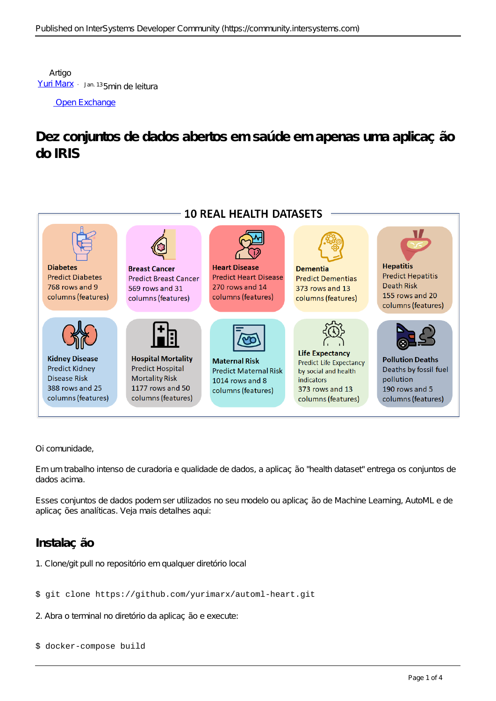Artigo [Yuri Marx](https://pt.community.intersystems.com/user/yuri-marx) · Jan. 135min de leitura

[Open Exchange](https://openexchange.intersystems.com/package/Health-Dataset)

**Dez conjuntos de dados abertos em saúde em apenas uma aplicação do IRIS**



Oi comunidade,

Em um trabalho intenso de curadoria e qualidade de dados, a aplicação "health dataset" entrega os conjuntos de dados acima.

Esses conjuntos de dados podem ser utilizados no seu modelo ou aplicação de Machine Learning, AutoML e de aplicações analíticas. Veja mais detalhes aqui:

# **Instalação**

1. Clone/git pull no repositório em qualquer diretório local

## \$ git clone https://github.com/yurimarx/automl-heart.git

2. Abra o terminal no diretório da aplicação e execute:

## \$ docker-compose build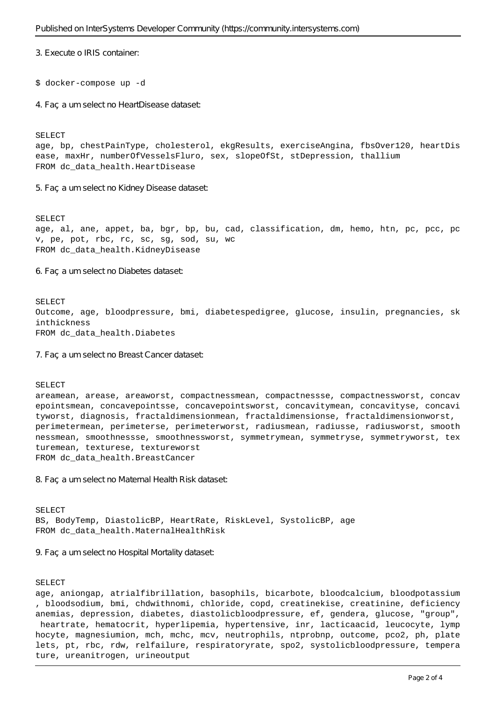3. Execute o IRIS container:

### \$ docker-compose up -d

4. Faça um select no HeartDisease dataset:

SELECT

age, bp, chestPainType, cholesterol, ekgResults, exerciseAngina, fbsOver120, heartDis ease, maxHr, numberOfVesselsFluro, sex, slopeOfSt, stDepression, thallium FROM dc\_data\_health.HeartDisease

5. Faça um select no Kidney Disease dataset:

SELECT age, al, ane, appet, ba, bgr, bp, bu, cad, classification, dm, hemo, htn, pc, pcc, pc v, pe, pot, rbc, rc, sc, sg, sod, su, wc FROM dc data health.KidneyDisease

6. Faça um select no Diabetes dataset:

#### SELECT

Outcome, age, bloodpressure, bmi, diabetespedigree, glucose, insulin, pregnancies, sk inthickness FROM dc data health.Diabetes

7. Faça um select no Breast Cancer dataset:

#### SELECT

areamean, arease, areaworst, compactnessmean, compactnessse, compactnessworst, concav epointsmean, concavepointsse, concavepointsworst, concavitymean, concavityse, concavi tyworst, diagnosis, fractaldimensionmean, fractaldimensionse, fractaldimensionworst, perimetermean, perimeterse, perimeterworst, radiusmean, radiusse, radiusworst, smooth nessmean, smoothnessse, smoothnessworst, symmetrymean, symmetryse, symmetryworst, tex turemean, texturese, textureworst FROM dc data health.BreastCancer

8. Fac a um select no Maternal Health Risk dataset:

SELECT BS, BodyTemp, DiastolicBP, HeartRate, RiskLevel, SystolicBP, age FROM dc\_data\_health.MaternalHealthRisk

9. Faça um select no Hospital Mortality dataset:

#### SELECT

age, aniongap, atrialfibrillation, basophils, bicarbote, bloodcalcium, bloodpotassium , bloodsodium, bmi, chdwithnomi, chloride, copd, creatinekise, creatinine, deficiency anemias, depression, diabetes, diastolicbloodpressure, ef, gendera, glucose, "group", heartrate, hematocrit, hyperlipemia, hypertensive, inr, lacticaacid, leucocyte, lymp hocyte, magnesiumion, mch, mchc, mcv, neutrophils, ntprobnp, outcome, pco2, ph, plate lets, pt, rbc, rdw, relfailure, respiratoryrate, spo2, systolicbloodpressure, tempera ture, ureanitrogen, urineoutput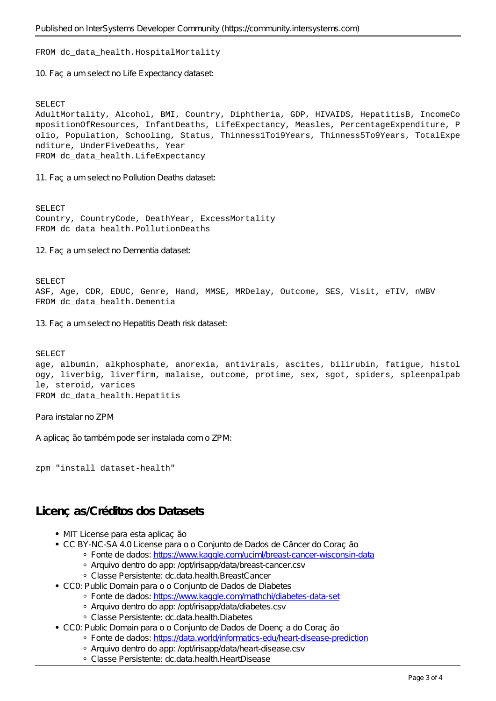## FROM dc\_data\_health.HospitalMortality

10. Faç a um select no Life Expectancy dataset:

## SELECT

AdultMortality, Alcohol, BMI, Country, Diphtheria, GDP, HIVAIDS, HepatitisB, IncomeCo mpositionOfResources, InfantDeaths, LifeExpectancy, Measles, PercentageExpenditure, P olio, Population, Schooling, Status, Thinness1To19Years, Thinness5To9Years, TotalExpe nditure, UnderFiveDeaths, Year FROM dc data health.LifeExpectancy

11. Faç a um select no Pollution Deaths dataset:

SELECT Country, CountryCode, DeathYear, ExcessMortality FROM dc data health.PollutionDeaths

12. Faç a um select no Dementia dataset:

SELECT ASF, Age, CDR, EDUC, Genre, Hand, MMSE, MRDelay, Outcome, SES, Visit, eTIV, nWBV FROM dc\_data\_health.Dementia

13. Faç a um select no Hepatitis Death risk dataset:

SELECT age, albumin, alkphosphate, anorexia, antivirals, ascites, bilirubin, fatigue, histol ogy, liverbig, liverfirm, malaise, outcome, protime, sex, sgot, spiders, spleenpalpab le, steroid, varices FROM dc\_data\_health.Hepatitis

Para instalar no ZPM

A aplicação também pode ser instalada com o ZPM:

zpm "install dataset-health"

# **Licenças/Créditos dos Datasets**

- MIT License para esta aplicação
- CC BY-NC-SA 4.0 License para o o Conjunto de Dados de Câncer do Coração
	- · Fonte de dados:<https://www.kaggle.com/uciml/breast-cancer-wisconsin-data>
	- Arquivo dentro do app: /opt/irisapp/data/breast-cancer.csv
	- Classe Persistente: dc.data.health.BreastCancer
- CC0: Public Domain para o o Conjunto de Dados de Diabetes
	- · Fonte de dados:<https://www.kaggle.com/mathchi/diabetes-data-set>
		- Arquivo dentro do app: /opt/irisapp/data/diabetes.csv
		- Classe Persistente: dc.data.health.Diabetes
- CC0: Public Domain para o o Conjunto de Dados de Doença do Coracão
	- Fonte de dados:<https://data.world/informatics-edu/heart-disease-prediction>
	- Arquivo dentro do app: /opt/irisapp/data/heart-disease.csv
	- Classe Persistente: dc.data.health.HeartDisease